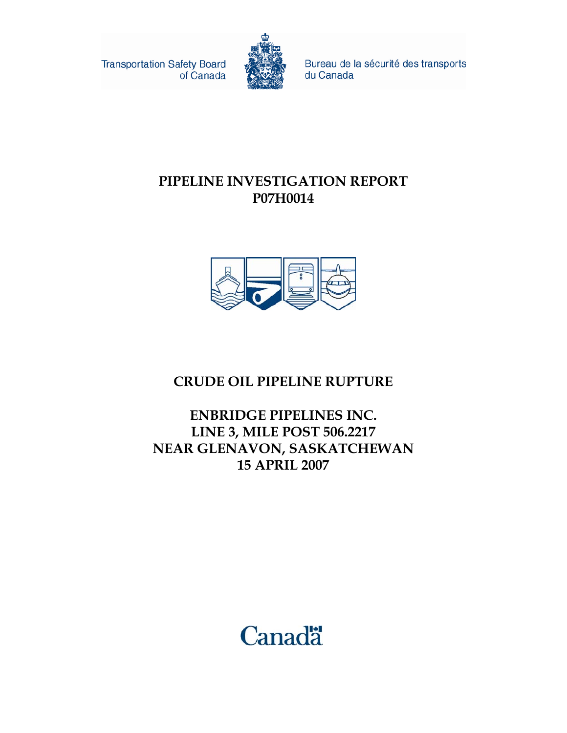**Transportation Safety Board** of Canada



Bureau de la sécurité des transports du Canada

#### **PIPELINE INVESTIGATION REPORT P07H0014**



#### **CRUDE OIL PIPELINE RUPTURE**

**ENBRIDGE PIPELINES INC. LINE 3, MILE POST 506.2217 NEAR GLENAVON, SASKATCHEWAN 15 APRIL 2007** 

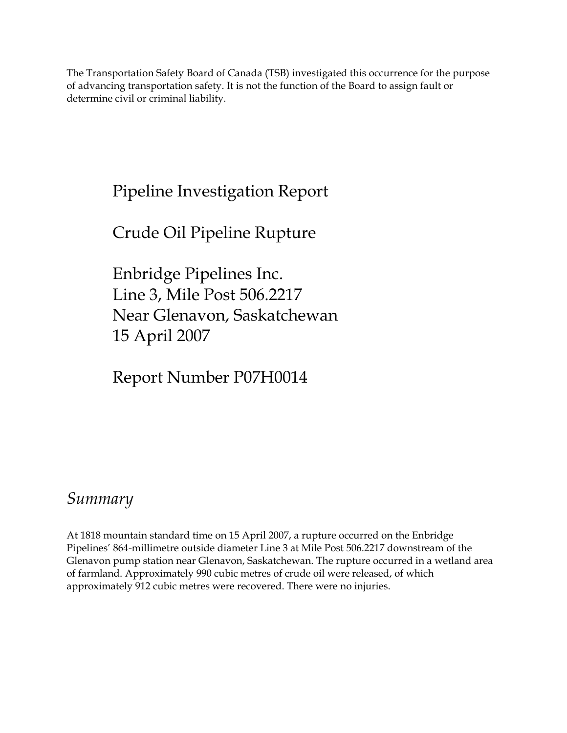The Transportation Safety Board of Canada (TSB) investigated this occurrence for the purpose of advancing transportation safety. It is not the function of the Board to assign fault or determine civil or criminal liability.

## Pipeline Investigation Report

## Crude Oil Pipeline Rupture

Enbridge Pipelines Inc. Line 3, Mile Post 506.2217 Near Glenavon, Saskatchewan 15 April 2007

Report Number P07H0014

### *Summary*

At 1818 mountain standard time on 15 April 2007, a rupture occurred on the Enbridge Pipelines' 864-millimetre outside diameter Line 3 at Mile Post 506.2217 downstream of the Glenavon pump station near Glenavon, Saskatchewan. The rupture occurred in a wetland area of farmland. Approximately 990 cubic metres of crude oil were released, of which approximately 912 cubic metres were recovered. There were no injuries.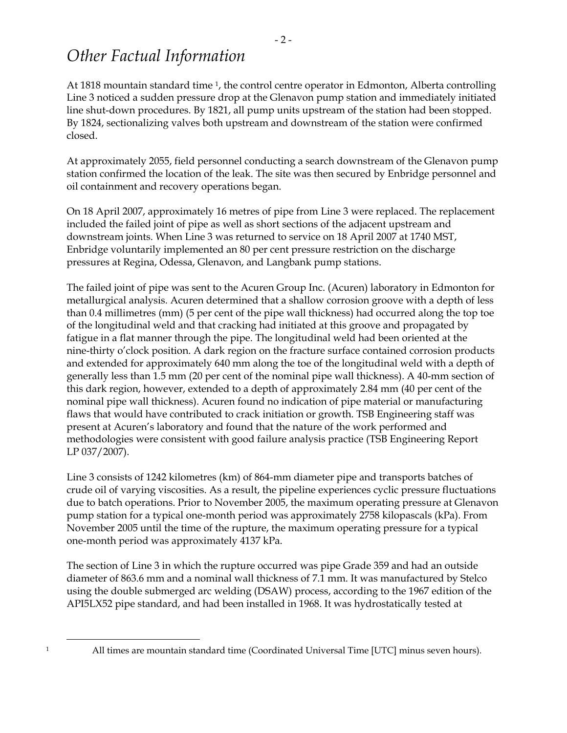### *Other Factual Information*

At 1818 mountain standard time <sup>1</sup>, the control centre operator in Edmonton, Alberta controlling Line 3 noticed a sudden pressure drop at the Glenavon pump station and immediately initiated line shut-down procedures. By 1821, all pump units upstream of the station had been stopped. By 1824, sectionalizing valves both upstream and downstream of the station were confirmed closed.

At approximately 2055, field personnel conducting a search downstream of the Glenavon pump station confirmed the location of the leak. The site was then secured by Enbridge personnel and oil containment and recovery operations began.

On 18 April 2007, approximately 16 metres of pipe from Line 3 were replaced. The replacement included the failed joint of pipe as well as short sections of the adjacent upstream and downstream joints. When Line 3 was returned to service on 18 April 2007 at 1740 MST, Enbridge voluntarily implemented an 80 per cent pressure restriction on the discharge pressures at Regina, Odessa, Glenavon, and Langbank pump stations.

The failed joint of pipe was sent to the Acuren Group Inc. (Acuren) laboratory in Edmonton for metallurgical analysis. Acuren determined that a shallow corrosion groove with a depth of less than 0.4 millimetres (mm) (5 per cent of the pipe wall thickness) had occurred along the top toe of the longitudinal weld and that cracking had initiated at this groove and propagated by fatigue in a flat manner through the pipe. The longitudinal weld had been oriented at the nine-thirty o'clock position. A dark region on the fracture surface contained corrosion products and extended for approximately 640 mm along the toe of the longitudinal weld with a depth of generally less than 1.5 mm (20 per cent of the nominal pipe wall thickness). A 40-mm section of this dark region, however, extended to a depth of approximately 2.84 mm (40 per cent of the nominal pipe wall thickness). Acuren found no indication of pipe material or manufacturing flaws that would have contributed to crack initiation or growth. TSB Engineering staff was present at Acuren's laboratory and found that the nature of the work performed and methodologies were consistent with good failure analysis practice (TSB Engineering Report LP 037/2007).

Line 3 consists of 1242 kilometres (km) of 864-mm diameter pipe and transports batches of crude oil of varying viscosities. As a result, the pipeline experiences cyclic pressure fluctuations due to batch operations. Prior to November 2005, the maximum operating pressure at Glenavon pump station for a typical one-month period was approximately 2758 kilopascals (kPa). From November 2005 until the time of the rupture, the maximum operating pressure for a typical one-month period was approximately 4137 kPa.

The section of Line 3 in which the rupture occurred was pipe Grade 359 and had an outside diameter of 863.6 mm and a nominal wall thickness of 7.1 mm. It was manufactured by Stelco using the double submerged arc welding (DSAW) process, according to the 1967 edition of the API5LX52 pipe standard, and had been installed in 1968. It was hydrostatically tested at

All times are mountain standard time (Coordinated Universal Time [UTC] minus seven hours).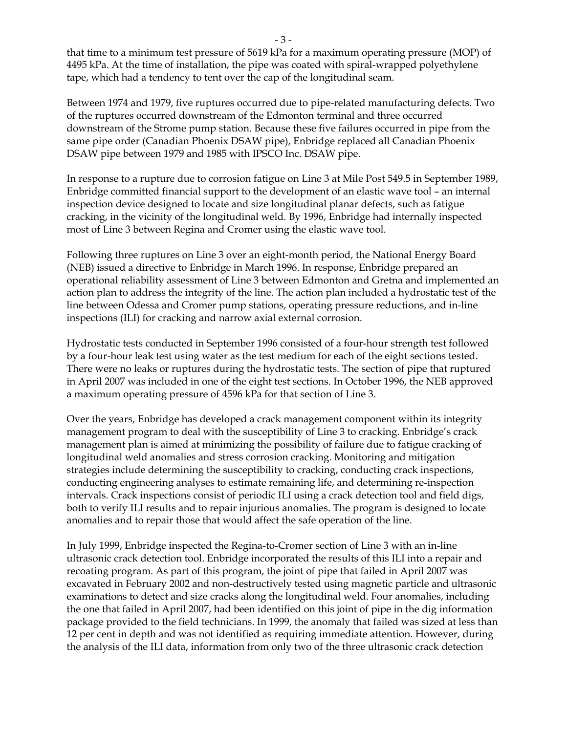that time to a minimum test pressure of 5619 kPa for a maximum operating pressure (MOP) of 4495 kPa. At the time of installation, the pipe was coated with spiral-wrapped polyethylene tape, which had a tendency to tent over the cap of the longitudinal seam.

Between 1974 and 1979, five ruptures occurred due to pipe-related manufacturing defects. Two of the ruptures occurred downstream of the Edmonton terminal and three occurred downstream of the Strome pump station. Because these five failures occurred in pipe from the same pipe order (Canadian Phoenix DSAW pipe), Enbridge replaced all Canadian Phoenix DSAW pipe between 1979 and 1985 with IPSCO Inc. DSAW pipe.

In response to a rupture due to corrosion fatigue on Line 3 at Mile Post 549.5 in September 1989, Enbridge committed financial support to the development of an elastic wave tool – an internal inspection device designed to locate and size longitudinal planar defects, such as fatigue cracking, in the vicinity of the longitudinal weld. By 1996, Enbridge had internally inspected most of Line 3 between Regina and Cromer using the elastic wave tool.

Following three ruptures on Line 3 over an eight-month period, the National Energy Board (NEB) issued a directive to Enbridge in March 1996. In response, Enbridge prepared an operational reliability assessment of Line 3 between Edmonton and Gretna and implemented an action plan to address the integrity of the line. The action plan included a hydrostatic test of the line between Odessa and Cromer pump stations, operating pressure reductions, and in-line inspections (ILI) for cracking and narrow axial external corrosion.

Hydrostatic tests conducted in September 1996 consisted of a four-hour strength test followed by a four-hour leak test using water as the test medium for each of the eight sections tested. There were no leaks or ruptures during the hydrostatic tests. The section of pipe that ruptured in April 2007 was included in one of the eight test sections. In October 1996, the NEB approved a maximum operating pressure of 4596 kPa for that section of Line 3.

Over the years, Enbridge has developed a crack management component within its integrity management program to deal with the susceptibility of Line 3 to cracking. Enbridge's crack management plan is aimed at minimizing the possibility of failure due to fatigue cracking of longitudinal weld anomalies and stress corrosion cracking. Monitoring and mitigation strategies include determining the susceptibility to cracking, conducting crack inspections, conducting engineering analyses to estimate remaining life, and determining re-inspection intervals. Crack inspections consist of periodic ILI using a crack detection tool and field digs, both to verify ILI results and to repair injurious anomalies. The program is designed to locate anomalies and to repair those that would affect the safe operation of the line.

In July 1999, Enbridge inspected the Regina-to-Cromer section of Line 3 with an in-line ultrasonic crack detection tool. Enbridge incorporated the results of this ILI into a repair and recoating program. As part of this program, the joint of pipe that failed in April 2007 was excavated in February 2002 and non-destructively tested using magnetic particle and ultrasonic examinations to detect and size cracks along the longitudinal weld. Four anomalies, including the one that failed in April 2007, had been identified on this joint of pipe in the dig information package provided to the field technicians. In 1999, the anomaly that failed was sized at less than 12 per cent in depth and was not identified as requiring immediate attention. However, during the analysis of the ILI data, information from only two of the three ultrasonic crack detection

- 3 -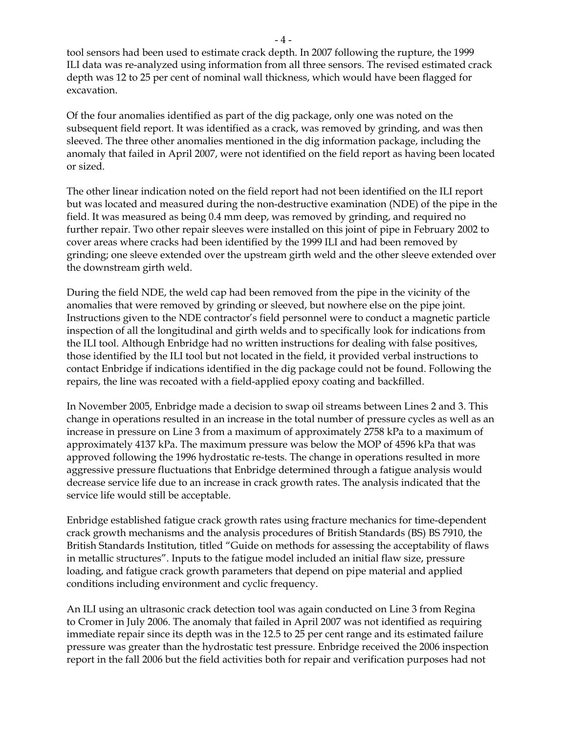tool sensors had been used to estimate crack depth. In 2007 following the rupture, the 1999 ILI data was re-analyzed using information from all three sensors. The revised estimated crack depth was 12 to 25 per cent of nominal wall thickness, which would have been flagged for excavation.

Of the four anomalies identified as part of the dig package, only one was noted on the subsequent field report. It was identified as a crack, was removed by grinding, and was then sleeved. The three other anomalies mentioned in the dig information package, including the anomaly that failed in April 2007, were not identified on the field report as having been located or sized.

The other linear indication noted on the field report had not been identified on the ILI report but was located and measured during the non-destructive examination (NDE) of the pipe in the field. It was measured as being 0.4 mm deep, was removed by grinding, and required no further repair. Two other repair sleeves were installed on this joint of pipe in February 2002 to cover areas where cracks had been identified by the 1999 ILI and had been removed by grinding; one sleeve extended over the upstream girth weld and the other sleeve extended over the downstream girth weld.

During the field NDE, the weld cap had been removed from the pipe in the vicinity of the anomalies that were removed by grinding or sleeved, but nowhere else on the pipe joint. Instructions given to the NDE contractor's field personnel were to conduct a magnetic particle inspection of all the longitudinal and girth welds and to specifically look for indications from the ILI tool. Although Enbridge had no written instructions for dealing with false positives, those identified by the ILI tool but not located in the field, it provided verbal instructions to contact Enbridge if indications identified in the dig package could not be found. Following the repairs, the line was recoated with a field-applied epoxy coating and backfilled.

In November 2005, Enbridge made a decision to swap oil streams between Lines 2 and 3. This change in operations resulted in an increase in the total number of pressure cycles as well as an increase in pressure on Line 3 from a maximum of approximately 2758 kPa to a maximum of approximately 4137 kPa. The maximum pressure was below the MOP of 4596 kPa that was approved following the 1996 hydrostatic re-tests. The change in operations resulted in more aggressive pressure fluctuations that Enbridge determined through a fatigue analysis would decrease service life due to an increase in crack growth rates. The analysis indicated that the service life would still be acceptable.

Enbridge established fatigue crack growth rates using fracture mechanics for time-dependent crack growth mechanisms and the analysis procedures of British Standards (BS) BS 7910, the British Standards Institution, titled "Guide on methods for assessing the acceptability of flaws in metallic structures". Inputs to the fatigue model included an initial flaw size, pressure loading, and fatigue crack growth parameters that depend on pipe material and applied conditions including environment and cyclic frequency.

An ILI using an ultrasonic crack detection tool was again conducted on Line 3 from Regina to Cromer in July 2006. The anomaly that failed in April 2007 was not identified as requiring immediate repair since its depth was in the 12.5 to 25 per cent range and its estimated failure pressure was greater than the hydrostatic test pressure. Enbridge received the 2006 inspection report in the fall 2006 but the field activities both for repair and verification purposes had not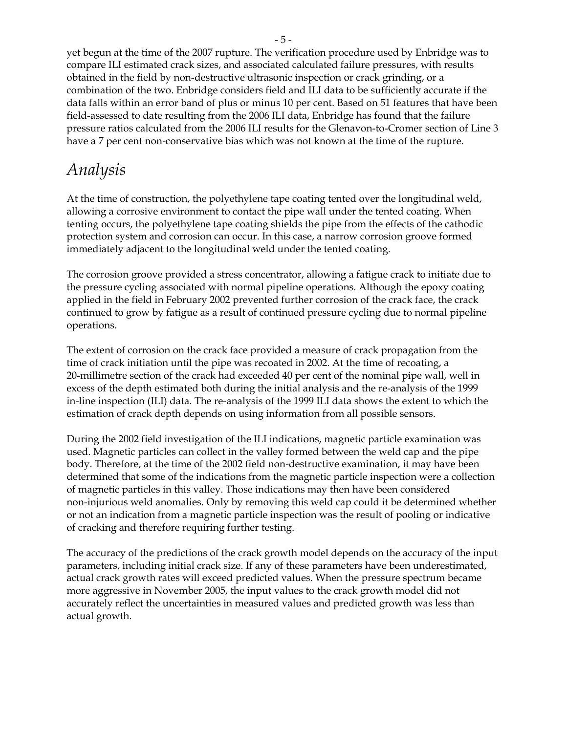yet begun at the time of the 2007 rupture. The verification procedure used by Enbridge was to compare ILI estimated crack sizes, and associated calculated failure pressures, with results obtained in the field by non-destructive ultrasonic inspection or crack grinding, or a combination of the two. Enbridge considers field and ILI data to be sufficiently accurate if the data falls within an error band of plus or minus 10 per cent. Based on 51 features that have been field-assessed to date resulting from the 2006 ILI data, Enbridge has found that the failure pressure ratios calculated from the 2006 ILI results for the Glenavon-to-Cromer section of Line 3 have a 7 per cent non-conservative bias which was not known at the time of the rupture.

## *Analysis*

At the time of construction, the polyethylene tape coating tented over the longitudinal weld, allowing a corrosive environment to contact the pipe wall under the tented coating. When tenting occurs, the polyethylene tape coating shields the pipe from the effects of the cathodic protection system and corrosion can occur. In this case, a narrow corrosion groove formed immediately adjacent to the longitudinal weld under the tented coating.

The corrosion groove provided a stress concentrator, allowing a fatigue crack to initiate due to the pressure cycling associated with normal pipeline operations. Although the epoxy coating applied in the field in February 2002 prevented further corrosion of the crack face, the crack continued to grow by fatigue as a result of continued pressure cycling due to normal pipeline operations.

The extent of corrosion on the crack face provided a measure of crack propagation from the time of crack initiation until the pipe was recoated in 2002. At the time of recoating, a 20-millimetre section of the crack had exceeded 40 per cent of the nominal pipe wall, well in excess of the depth estimated both during the initial analysis and the re-analysis of the 1999 in-line inspection (ILI) data. The re-analysis of the 1999 ILI data shows the extent to which the estimation of crack depth depends on using information from all possible sensors.

During the 2002 field investigation of the ILI indications, magnetic particle examination was used. Magnetic particles can collect in the valley formed between the weld cap and the pipe body. Therefore, at the time of the 2002 field non-destructive examination, it may have been determined that some of the indications from the magnetic particle inspection were a collection of magnetic particles in this valley. Those indications may then have been considered non-injurious weld anomalies. Only by removing this weld cap could it be determined whether or not an indication from a magnetic particle inspection was the result of pooling or indicative of cracking and therefore requiring further testing.

The accuracy of the predictions of the crack growth model depends on the accuracy of the input parameters, including initial crack size. If any of these parameters have been underestimated, actual crack growth rates will exceed predicted values. When the pressure spectrum became more aggressive in November 2005, the input values to the crack growth model did not accurately reflect the uncertainties in measured values and predicted growth was less than actual growth.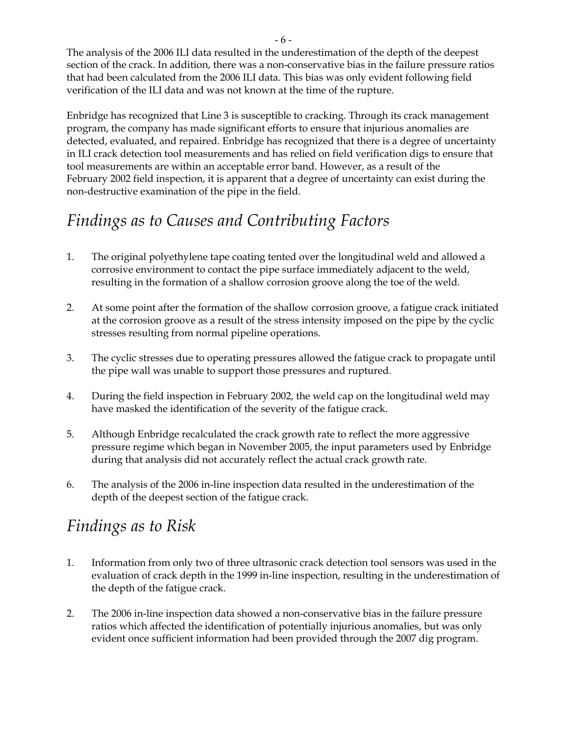The analysis of the 2006 ILI data resulted in the underestimation of the depth of the deepest section of the crack. In addition, there was a non-conservative bias in the failure pressure ratios that had been calculated from the 2006 ILI data. This bias was only evident following field verification of the ILI data and was not known at the time of the rupture.

Enbridge has recognized that Line 3 is susceptible to cracking. Through its crack management program, the company has made significant efforts to ensure that injurious anomalies are detected, evaluated, and repaired. Enbridge has recognized that there is a degree of uncertainty in ILI crack detection tool measurements and has relied on field verification digs to ensure that tool measurements are within an acceptable error band. However, as a result of the February 2002 field inspection, it is apparent that a degree of uncertainty can exist during the non-destructive examination of the pipe in the field.

# *Findings as to Causes and Contributing Factors*

- 1. The original polyethylene tape coating tented over the longitudinal weld and allowed a corrosive environment to contact the pipe surface immediately adjacent to the weld, resulting in the formation of a shallow corrosion groove along the toe of the weld.
- 2. At some point after the formation of the shallow corrosion groove, a fatigue crack initiated at the corrosion groove as a result of the stress intensity imposed on the pipe by the cyclic stresses resulting from normal pipeline operations.
- 3. The cyclic stresses due to operating pressures allowed the fatigue crack to propagate until the pipe wall was unable to support those pressures and ruptured.
- 4. During the field inspection in February 2002, the weld cap on the longitudinal weld may have masked the identification of the severity of the fatigue crack.
- 5. Although Enbridge recalculated the crack growth rate to reflect the more aggressive pressure regime which began in November 2005, the input parameters used by Enbridge during that analysis did not accurately reflect the actual crack growth rate.
- 6. The analysis of the 2006 in-line inspection data resulted in the underestimation of the depth of the deepest section of the fatigue crack.

### *Findings as to Risk*

- 1. Information from only two of three ultrasonic crack detection tool sensors was used in the evaluation of crack depth in the 1999 in-line inspection, resulting in the underestimation of the depth of the fatigue crack.
- 2. The 2006 in-line inspection data showed a non-conservative bias in the failure pressure ratios which affected the identification of potentially injurious anomalies, but was only evident once sufficient information had been provided through the 2007 dig program.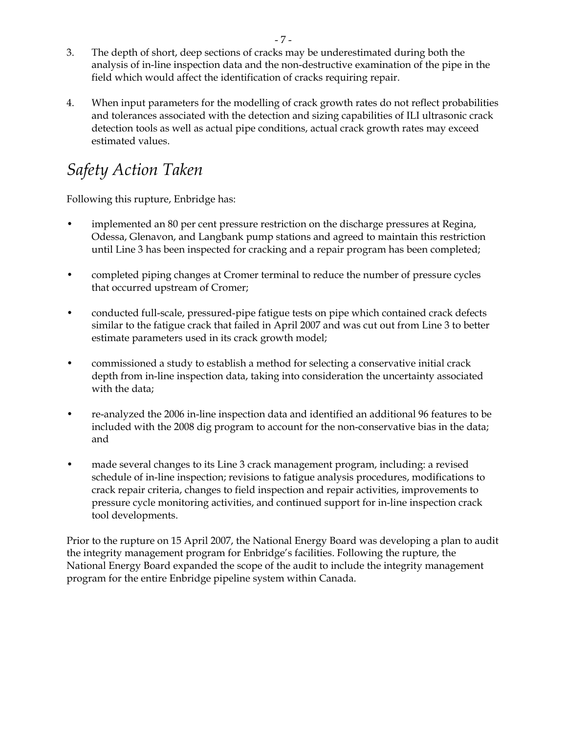- 3. The depth of short, deep sections of cracks may be underestimated during both the analysis of in-line inspection data and the non-destructive examination of the pipe in the field which would affect the identification of cracks requiring repair.
- 4. When input parameters for the modelling of crack growth rates do not reflect probabilities and tolerances associated with the detection and sizing capabilities of ILI ultrasonic crack detection tools as well as actual pipe conditions, actual crack growth rates may exceed estimated values.

# *Safety Action Taken*

Following this rupture, Enbridge has:

- implemented an 80 per cent pressure restriction on the discharge pressures at Regina, Odessa, Glenavon, and Langbank pump stations and agreed to maintain this restriction until Line 3 has been inspected for cracking and a repair program has been completed;
- completed piping changes at Cromer terminal to reduce the number of pressure cycles that occurred upstream of Cromer;
- conducted full-scale, pressured-pipe fatigue tests on pipe which contained crack defects similar to the fatigue crack that failed in April 2007 and was cut out from Line 3 to better estimate parameters used in its crack growth model;
- commissioned a study to establish a method for selecting a conservative initial crack depth from in-line inspection data, taking into consideration the uncertainty associated with the data;
- re-analyzed the 2006 in-line inspection data and identified an additional 96 features to be included with the 2008 dig program to account for the non-conservative bias in the data; and
- made several changes to its Line 3 crack management program, including: a revised schedule of in-line inspection; revisions to fatigue analysis procedures, modifications to crack repair criteria, changes to field inspection and repair activities, improvements to pressure cycle monitoring activities, and continued support for in-line inspection crack tool developments.

Prior to the rupture on 15 April 2007, the National Energy Board was developing a plan to audit the integrity management program for Enbridge's facilities. Following the rupture, the National Energy Board expanded the scope of the audit to include the integrity management program for the entire Enbridge pipeline system within Canada.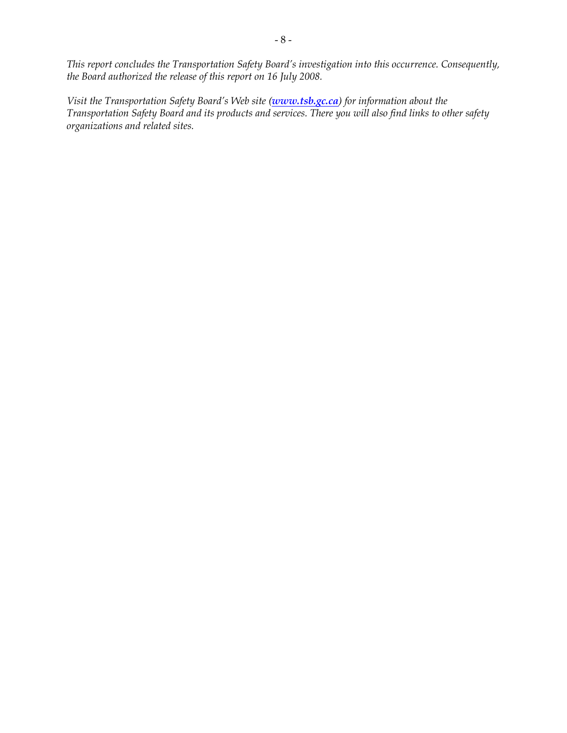*This report concludes the Transportation Safety Board's investigation into this occurrence. Consequently, the Board authorized the release of this report on 16 July 2008.* 

*Visit the Transportation Safety Board's Web site (www.tsb.gc.ca) for information about the Transportation Safety Board and its products and services. There you will also find links to other safety organizations and related sites.*